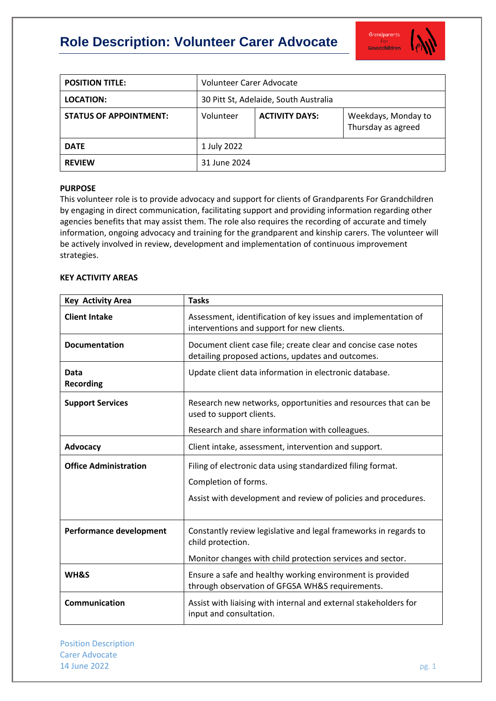# **Role Description: Volunteer Carer Advocate**



| <b>POSITION TITLE:</b>        | Volunteer Carer Advocate              |                       |                                           |
|-------------------------------|---------------------------------------|-----------------------|-------------------------------------------|
| LOCATION:                     | 30 Pitt St, Adelaide, South Australia |                       |                                           |
| <b>STATUS OF APPOINTMENT:</b> | Volunteer                             | <b>ACTIVITY DAYS:</b> | Weekdays, Monday to<br>Thursday as agreed |
| <b>DATE</b>                   | 1 July 2022                           |                       |                                           |
| <b>REVIEW</b>                 | 31 June 2024                          |                       |                                           |

## **PURPOSE**

This volunteer role is to provide advocacy and support for clients of Grandparents For Grandchildren by engaging in direct communication, facilitating support and providing information regarding other agencies benefits that may assist them. The role also requires the recording of accurate and timely information, ongoing advocacy and training for the grandparent and kinship carers. The volunteer will be actively involved in review, development and implementation of continuous improvement strategies.

## **KEY ACTIVITY AREAS**

| <b>Key Activity Area</b>       | <b>Tasks</b>                                                                                                        |  |
|--------------------------------|---------------------------------------------------------------------------------------------------------------------|--|
| <b>Client Intake</b>           | Assessment, identification of key issues and implementation of<br>interventions and support for new clients.        |  |
| <b>Documentation</b>           | Document client case file; create clear and concise case notes<br>detailing proposed actions, updates and outcomes. |  |
| Data<br><b>Recording</b>       | Update client data information in electronic database.                                                              |  |
| <b>Support Services</b>        | Research new networks, opportunities and resources that can be<br>used to support clients.                          |  |
|                                | Research and share information with colleagues.                                                                     |  |
| Advocacy                       | Client intake, assessment, intervention and support.                                                                |  |
| <b>Office Administration</b>   | Filing of electronic data using standardized filing format.<br>Completion of forms.                                 |  |
|                                |                                                                                                                     |  |
|                                | Assist with development and review of policies and procedures.                                                      |  |
| <b>Performance development</b> | Constantly review legislative and legal frameworks in regards to<br>child protection.                               |  |
|                                | Monitor changes with child protection services and sector.                                                          |  |
| WH&S                           | Ensure a safe and healthy working environment is provided<br>through observation of GFGSA WH&S requirements.        |  |
| <b>Communication</b>           | Assist with liaising with internal and external stakeholders for<br>input and consultation.                         |  |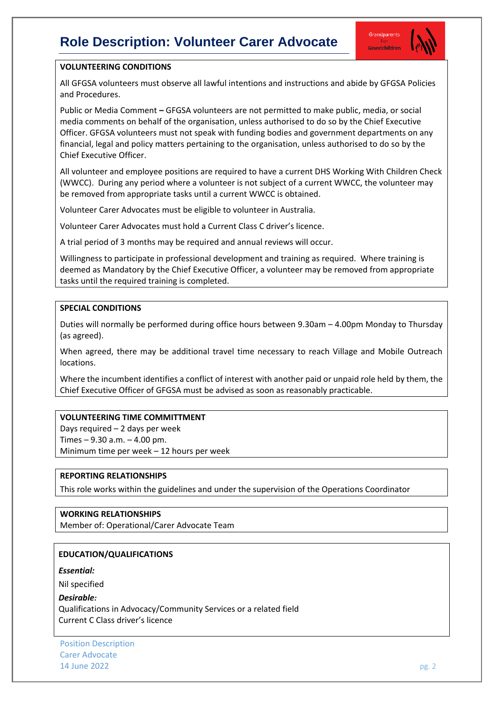## **Role Description: Volunteer Carer Advocate**



## **VOLUNTEERING CONDITIONS**

All GFGSA volunteers must observe all lawful intentions and instructions and abide by GFGSA Policies and Procedures.

Public or Media Comment **–** GFGSA volunteers are not permitted to make public, media, or social media comments on behalf of the organisation, unless authorised to do so by the Chief Executive Officer. GFGSA volunteers must not speak with funding bodies and government departments on any financial, legal and policy matters pertaining to the organisation, unless authorised to do so by the Chief Executive Officer.

All volunteer and employee positions are required to have a current DHS Working With Children Check (WWCC). During any period where a volunteer is not subject of a current WWCC, the volunteer may be removed from appropriate tasks until a current WWCC is obtained.

Volunteer Carer Advocates must be eligible to volunteer in Australia.

Volunteer Carer Advocates must hold a Current Class C driver's licence.

A trial period of 3 months may be required and annual reviews will occur.

Willingness to participate in professional development and training as required. Where training is deemed as Mandatory by the Chief Executive Officer, a volunteer may be removed from appropriate tasks until the required training is completed.

## **SPECIAL CONDITIONS**

Duties will normally be performed during office hours between 9.30am – 4.00pm Monday to Thursday (as agreed).

When agreed, there may be additional travel time necessary to reach Village and Mobile Outreach locations.

Where the incumbent identifies a conflict of interest with another paid or unpaid role held by them, the Chief Executive Officer of GFGSA must be advised as soon as reasonably practicable.

## **VOLUNTEERING TIME COMMITTMENT**

Days required – 2 days per week Times – 9.30 a.m. – 4.00 pm. Minimum time per week – 12 hours per week

#### **REPORTING RELATIONSHIPS**

This role works within the guidelines and under the supervision of the Operations Coordinator

## **WORKING RELATIONSHIPS**

Member of: Operational/Carer Advocate Team

## **EDUCATION/QUALIFICATIONS**

*Essential:* 

Nil specified

#### *Desirable:*

Qualifications in Advocacy/Community Services or a related field Current C Class driver's licence

Position Description Carer Advocate **14 June 2022** pg. 2